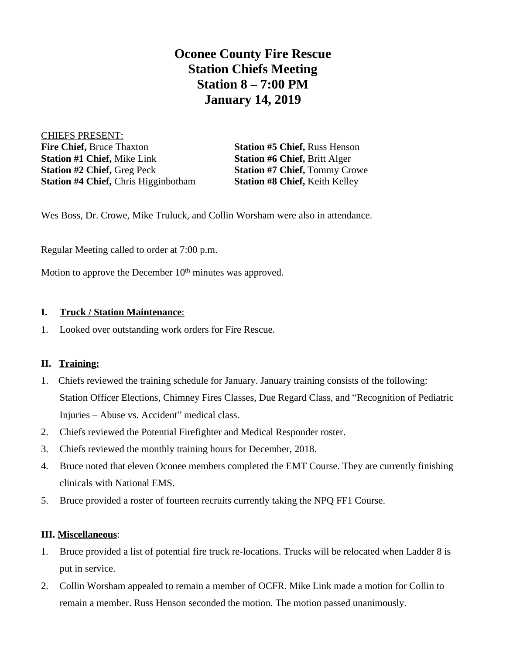## **Oconee County Fire Rescue Station Chiefs Meeting Station 8 – 7:00 PM January 14, 2019**

CHIEFS PRESENT: **Fire Chief, Bruce Thaxton Station #5 Chief, Russ Henson Station #1 Chief, Mike Link <b>Station #6 Chief, Britt Alger Station #2 Chief, Greg Peck Station #7 Chief, Tommy Crowe Station #4 Chief,** Chris Higginbotham **Station #8 Chief,** Keith Kelley

Wes Boss, Dr. Crowe, Mike Truluck, and Collin Worsham were also in attendance.

Regular Meeting called to order at 7:00 p.m.

Motion to approve the December  $10<sup>th</sup>$  minutes was approved.

## **I. Truck / Station Maintenance**:

1. Looked over outstanding work orders for Fire Rescue.

## **II. Training:**

- 1. Chiefs reviewed the training schedule for January. January training consists of the following: Station Officer Elections, Chimney Fires Classes, Due Regard Class, and "Recognition of Pediatric Injuries – Abuse vs. Accident" medical class.
- 2. Chiefs reviewed the Potential Firefighter and Medical Responder roster.
- 3. Chiefs reviewed the monthly training hours for December, 2018.
- 4. Bruce noted that eleven Oconee members completed the EMT Course. They are currently finishing clinicals with National EMS.
- 5. Bruce provided a roster of fourteen recruits currently taking the NPQ FF1 Course.

## **III. Miscellaneous**:

- 1. Bruce provided a list of potential fire truck re-locations. Trucks will be relocated when Ladder 8 is put in service.
- 2. Collin Worsham appealed to remain a member of OCFR. Mike Link made a motion for Collin to remain a member. Russ Henson seconded the motion. The motion passed unanimously.